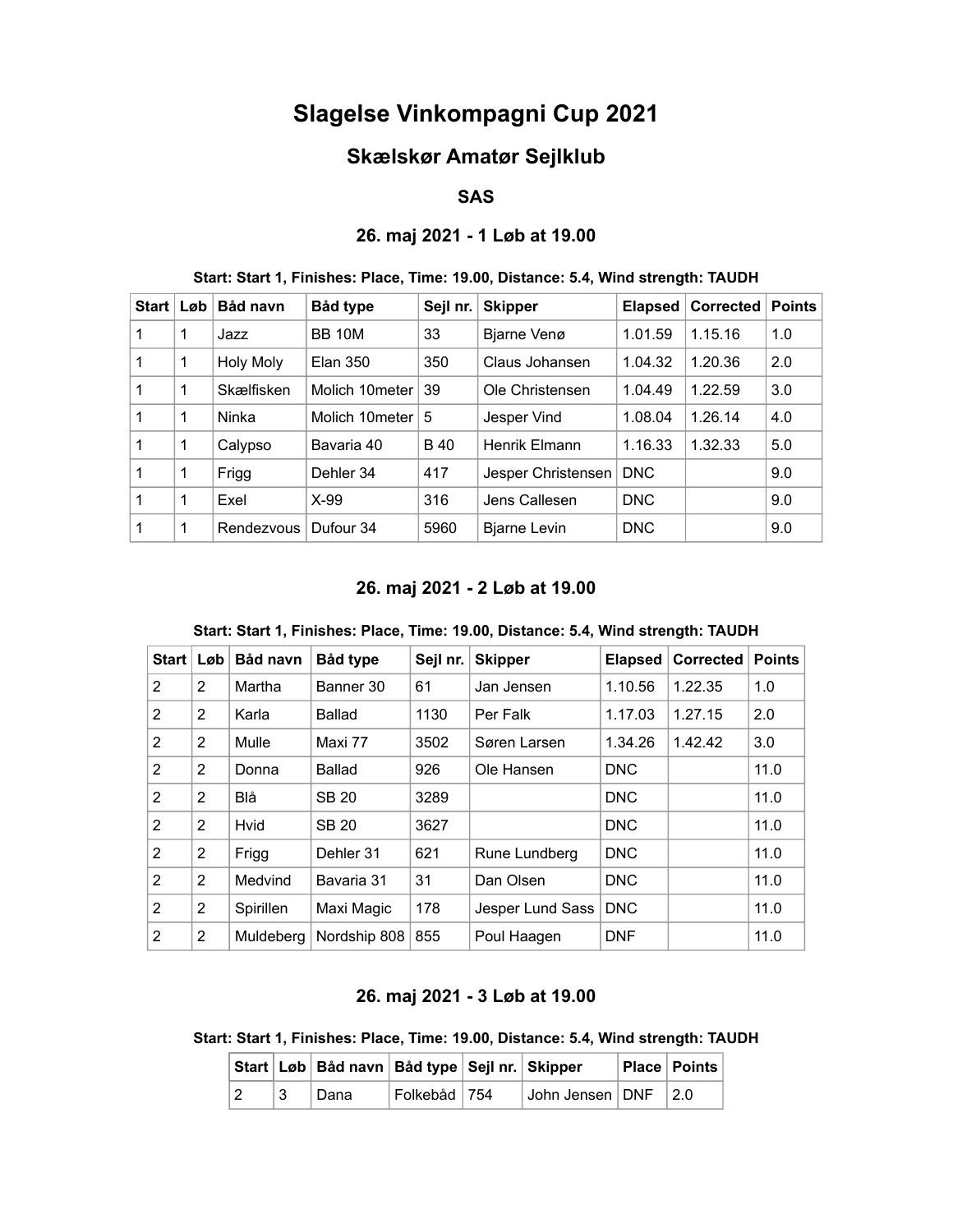# Slagelse Vinkompagni Cup 2021

# Skælskør Amatør Sejlklub

#### SAS

### 26. maj 2021 - 1 Løb at 19.00

| <b>Start</b>   | Løb | Båd navn         | Båd type        | Sejl nr.    | <b>Skipper</b>      | <b>Elapsed</b> | Corrected | <b>Points</b> |
|----------------|-----|------------------|-----------------|-------------|---------------------|----------------|-----------|---------------|
| $\mathbf{1}$   | 1   | Jazz             | <b>BB 10M</b>   | 33          | Bjarne Venø         | 1.01.59        | 1.15.16   | 1.0           |
| $\overline{1}$ | 1   | <b>Holy Moly</b> | <b>Elan 350</b> | 350         | Claus Johansen      | 1.04.32        | 1.20.36   | 2.0           |
| $\overline{1}$ | 1   | Skælfisken       | Molich 10meter  | 39          | Ole Christensen     | 1.04.49        | 1.22.59   | 3.0           |
| $\overline{1}$ | 1   | Ninka            | Molich 10meter  | 5           | Jesper Vind         | 1.08.04        | 1.26.14   | 4.0           |
| $\mathbf{1}$   | 1   | Calypso          | Bavaria 40      | <b>B</b> 40 | Henrik Elmann       | 1.16.33        | 1.32.33   | 5.0           |
| $\mathbf{1}$   | 1   | Frigg            | Dehler 34       | 417         | Jesper Christensen  | <b>DNC</b>     |           | 9.0           |
| $\mathbf{1}$   | 1   | Exel             | $X-99$          | 316         | Jens Callesen       | <b>DNC</b>     |           | 9.0           |
| $\mathbf{1}$   | 1   | Rendezvous       | Dufour 34       | 5960        | <b>Bjarne Levin</b> | <b>DNC</b>     |           | 9.0           |
|                |     |                  |                 |             |                     |                |           |               |

#### Start: Start 1, Finishes: Place, Time: 19.00, Distance: 5.4, Wind strength: TAUDH

#### 26. maj 2021 - 2 Løb at 19.00

| Start $ $      | $L$ øb       | Båd navn  | Båd type      | Sejl nr. | <b>Skipper</b>   | <b>Elapsed</b> | <b>Corrected</b> | <b>Points</b> |
|----------------|--------------|-----------|---------------|----------|------------------|----------------|------------------|---------------|
| 2              | 2            | Martha    | Banner 30     | 61       | Jan Jensen       | 1.10.56        | 1.22.35          | 1.0           |
| 2              | 2            | Karla     | Ballad        | 1130     | Per Falk         | 1.17.03        | 1.27.15          | 2.0           |
| 2              | 2            | Mulle     | Maxi 77       | 3502     | Søren Larsen     | 1.34.26        | 1.42.42          | 3.0           |
| 2              | 2            | Donna     | <b>Ballad</b> | 926      | Ole Hansen       | <b>DNC</b>     |                  | 11.0          |
| 2              | 2            | Blå       | <b>SB 20</b>  | 3289     |                  | <b>DNC</b>     |                  | 11.0          |
| 2              | 2            | Hvid      | <b>SB 20</b>  | 3627     |                  | <b>DNC</b>     |                  | 11.0          |
| 2              | $\mathbf{2}$ | Frigg     | Dehler 31     | 621      | Rune Lundberg    | <b>DNC</b>     |                  | 11.0          |
| $\mathfrak{p}$ | 2            | Medvind   | Bavaria 31    | 31       | Dan Olsen        | <b>DNC</b>     |                  | 11.0          |
| $\mathcal{P}$  | 2            | Spirillen | Maxi Magic    | 178      | Jesper Lund Sass | <b>DNC</b>     |                  | 11.0          |
| $\overline{2}$ | 2            | Muldeberg | Nordship 808  | 855      | Poul Haagen      | <b>DNF</b>     |                  | 11.0          |

Start: Start 1, Finishes: Place, Time: 19.00, Distance: 5.4, Wind strength: TAUDH

#### 26. maj 2021 - 3 Løb at 19.00

Start: Start 1, Finishes: Place, Time: 19.00, Distance: 5.4, Wind strength: TAUDH

|   | Start Løb Båd navn Båd type Sejl nr. Skipper |               |                                             | <b>Place Points</b> |
|---|----------------------------------------------|---------------|---------------------------------------------|---------------------|
| 2 | ˈ Dana                                       | Folkebåd 1754 | $\vert$ John Jensen $\vert$ DNF $\vert$ 2.0 |                     |